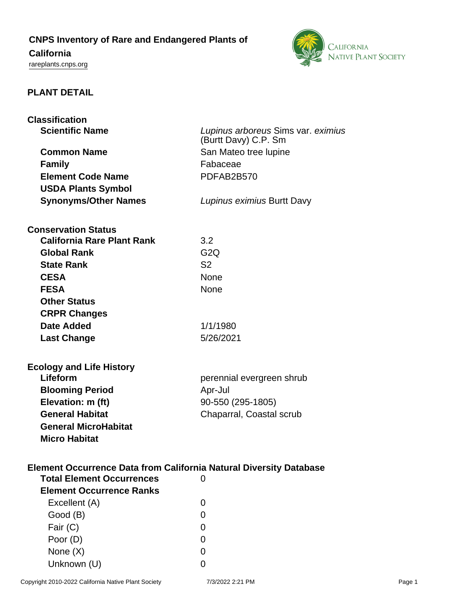## **CNPS Inventory of Rare and Endangered Plants of**

# **California**

<rareplants.cnps.org>



#### **PLANT DETAIL**

| <b>Classification</b>                                                                                         |                                    |  |
|---------------------------------------------------------------------------------------------------------------|------------------------------------|--|
| <b>Scientific Name</b>                                                                                        | Lupinus arboreus Sims var. eximius |  |
|                                                                                                               | (Burtt Davy) C.P. Sm               |  |
| <b>Common Name</b>                                                                                            | San Mateo tree lupine              |  |
| <b>Family</b>                                                                                                 | Fabaceae                           |  |
| <b>Element Code Name</b>                                                                                      | PDFAB2B570                         |  |
| <b>USDA Plants Symbol</b>                                                                                     |                                    |  |
| <b>Synonyms/Other Names</b>                                                                                   | Lupinus eximius Burtt Davy         |  |
|                                                                                                               |                                    |  |
| <b>Conservation Status</b>                                                                                    |                                    |  |
| <b>California Rare Plant Rank</b>                                                                             | 3.2                                |  |
| <b>Global Rank</b>                                                                                            | G <sub>2</sub> Q                   |  |
| <b>State Rank</b>                                                                                             | S <sub>2</sub>                     |  |
| <b>CESA</b>                                                                                                   | <b>None</b>                        |  |
| <b>FESA</b>                                                                                                   | None                               |  |
| <b>Other Status</b>                                                                                           |                                    |  |
| <b>CRPR Changes</b>                                                                                           |                                    |  |
| Date Added                                                                                                    | 1/1/1980                           |  |
| <b>Last Change</b>                                                                                            | 5/26/2021                          |  |
|                                                                                                               |                                    |  |
|                                                                                                               |                                    |  |
| <b>Ecology and Life History</b><br>Lifeform                                                                   | perennial evergreen shrub          |  |
| <b>Blooming Period</b>                                                                                        | Apr-Jul                            |  |
| Elevation: m (ft)                                                                                             | 90-550 (295-1805)                  |  |
| <b>General Habitat</b>                                                                                        | Chaparral, Coastal scrub           |  |
| <b>General MicroHabitat</b>                                                                                   |                                    |  |
| <b>Micro Habitat</b>                                                                                          |                                    |  |
|                                                                                                               |                                    |  |
|                                                                                                               |                                    |  |
| <b>Element Occurrence Data from California Natural Diversity Database</b><br><b>Total Element Occurrences</b> | 0                                  |  |
| <b>Element Occurrence Ranks</b>                                                                               |                                    |  |
|                                                                                                               |                                    |  |
| Excellent (A)                                                                                                 | 0                                  |  |
| Good (B)                                                                                                      | 0                                  |  |
| Fair (C)                                                                                                      | 0                                  |  |
| Poor (D)                                                                                                      | 0                                  |  |
| None $(X)$                                                                                                    | 0                                  |  |
| Unknown (U)                                                                                                   | 0                                  |  |